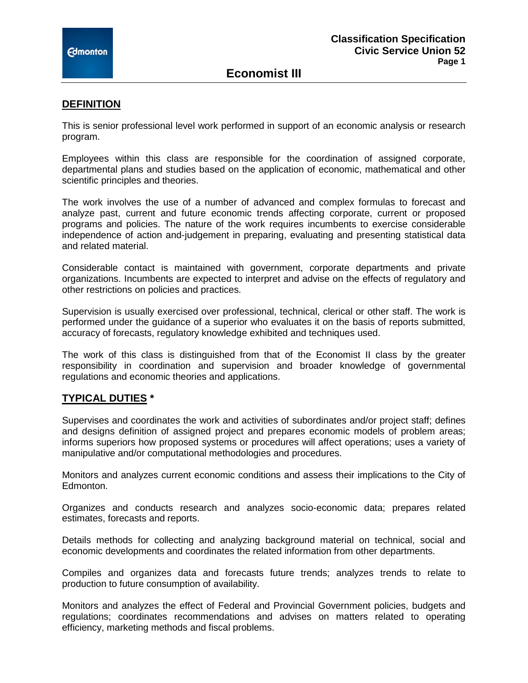**Economist III**

#### **DEFINITION**

This is senior professional level work performed in support of an economic analysis or research program.

Employees within this class are responsible for the coordination of assigned corporate, departmental plans and studies based on the application of economic, mathematical and other scientific principles and theories.

The work involves the use of a number of advanced and complex formulas to forecast and analyze past, current and future economic trends affecting corporate, current or proposed programs and policies. The nature of the work requires incumbents to exercise considerable independence of action and-judgement in preparing, evaluating and presenting statistical data and related material.

Considerable contact is maintained with government, corporate departments and private organizations. Incumbents are expected to interpret and advise on the effects of regulatory and other restrictions on policies and practices.

Supervision is usually exercised over professional, technical, clerical or other staff. The work is performed under the guidance of a superior who evaluates it on the basis of reports submitted, accuracy of forecasts, regulatory knowledge exhibited and techniques used.

The work of this class is distinguished from that of the Economist II class by the greater responsibility in coordination and supervision and broader knowledge of governmental regulations and economic theories and applications.

### **TYPICAL DUTIES \***

Supervises and coordinates the work and activities of subordinates and/or project staff; defines and designs definition of assigned project and prepares economic models of problem areas; informs superiors how proposed systems or procedures will affect operations; uses a variety of manipulative and/or computational methodologies and procedures.

Monitors and analyzes current economic conditions and assess their implications to the City of Edmonton.

Organizes and conducts research and analyzes socio-economic data; prepares related estimates, forecasts and reports.

Details methods for collecting and analyzing background material on technical, social and economic developments and coordinates the related information from other departments.

Compiles and organizes data and forecasts future trends; analyzes trends to relate to production to future consumption of availability.

Monitors and analyzes the effect of Federal and Provincial Government policies, budgets and regulations; coordinates recommendations and advises on matters related to operating efficiency, marketing methods and fiscal problems.